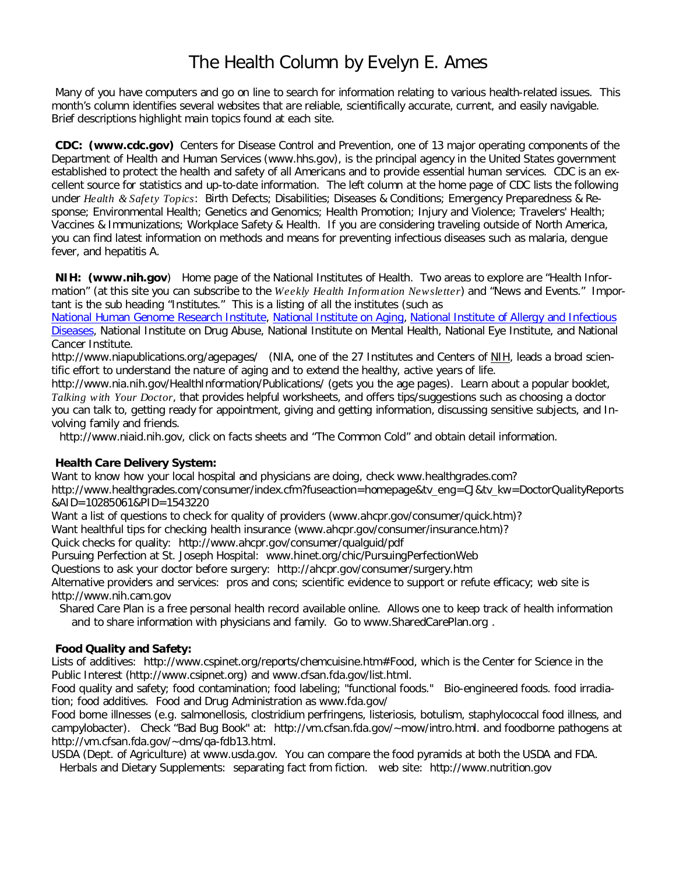## The Health Column by Evelyn E. Ames

Many of you have computers and go on line to search for information relating to various health-related issues. This month's column identifies several websites that are reliable, scientifically accurate, current, and easily navigable. Brief descriptions highlight main topics found at each site.

CDC: (www.cdc.gov) Centers for Disease Control and Prevention, one of 13 major operating components of the Department of Health and Human Services (www.hhs.gov), is the principal agency in the United States government established to protect the health and safety of all Americans and to provide essential human services. CDC is an excellent source for statistics and up-to-date information. The left column at the home page of CDC lists the following under *Health & Safety Topics*: Birth Defects; Disabilities; Diseases & Conditions; Emergency Preparedness & Response; Environmental Health; Genetics and Genomics; Health Promotion; Injury and Violence; Travelers' Health; Vaccines & Immunizations; Workplace Safety & Health. If you are considering traveling outside of North America, you can find latest information on methods and means for preventing infectious diseases such as malaria, dengue fever, and hepatitis A.

NIH: (www.nih.gov) Home page of the National Institutes of Health. Two areas to explore are "Health Information" (at this site you can subscribe to the Weekly Health Information Newsletter) and "News and Events." Important is the sub heading "Institutes." This is a listing of all the institutes (such as

National Human Genome Research Institute, National Institute on Aging, National Institute of Allergy and Infectious Diseases, National Institute on Drug Abuse, National Institute on Mental Health, National Eye Institute, and National Cancer Institute.

http://www.niapublications.org/agepages/ (NIA, one of the 27 Institutes and Centers of NIH, leads a broad scientific effort to understand the nature of aging and to extend the healthy, active years of life.

http://www.nia.nih.gov/HealthInformation/Publications/ (gets you the age pages). Learn about a popular booklet, Talking with Your Doctor, that provides helpful worksheets, and offers tips/suggestions such as choosing a doctor you can talk to, getting ready for appointment, giving and getting information, discussing sensitive subjects, and Involving family and friends.

http://www.niaid.nih.gov, click on facts sheets and "The Common Cold" and obtain detail information.

**Health Care Delivery System:**

Want to know how your local hospital and physicians are doing, check www.healthgrades.com?

http://www.healthgrades.com/consumer/index.cfm?fuseaction=homepage&tv\_eng=CJ&tv\_kw=DoctorQualityReports &AID=10285061&PID=1543220

Want a list of questions to check for quality of providers (www.ahcpr.gov/consumer/quick.htm)?

Want healthful tips for checking health insurance (www.ahcpr.gov/consumer/insurance.htm)?

Quick checks for quality: http://www.ahcpr.gov/consumer/qualguid/pdf

Pursuing Perfection at St. Joseph Hospital: www.hinet.org/chic/PursuingPerfectionWeb

Questions to ask your doctor before surgery: http://ahcpr.gov/consumer/surgery.htm

Alternative providers and services: pros and cons; scientific evidence to support or refute efficacy; web site is http://www.nih.cam.gov

Shared Care Plan is a free personal health record available online. Allows one to keep track of health information and to share information with physicians and family. Go to www.SharedCarePlan.org .

**Food Quality and Safety:**

Lists of additives: http://www.cspinet.org/reports/chemcuisine.htm#Food, which is the Center for Science in the Public Interest (http://www.csipnet.org) and www.cfsan.fda.gov/list.html.

Food quality and safety; food contamination; food labeling; "functional foods." Bio-engineered foods. food irradiation; food additives. Food and Drug Administration as www.fda.gov/

Food borne illnesses (e.g. salmonellosis, clostridium perfringens, listeriosis, botulism, staphylococcal food illness, and campylobacter). Check "Bad Bug Book" at: http://vm.cfsan.fda.gov/~mow/intro.html. and foodborne pathogens at http://vm.cfsan.fda.gov/~dms/qa-fdb13.html.

USDA (Dept. of Agriculture) at www.usda.gov. You can compare the food pyramids at both the USDA and FDA.

Herbals and Dietary Supplements: separating fact from fiction. web site: http://www.nutrition.gov